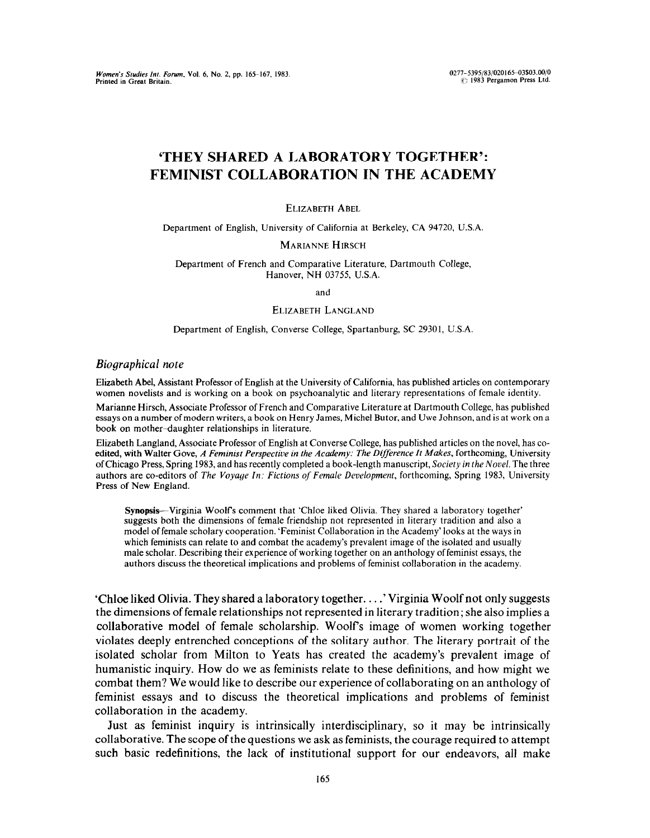*Women's Studies Int. Forum, Vol. 6, No. 2, pp. 165-167, 1983.* **Printed in Great Britain.** 

# **'THEY SHARED A LABORATORY TOGETHER': FEMINIST COLLABORATION IN THE ACADEMY**

### **ELIZABETH ABEL**

Department of English, University of California at Berkeley, CA 94720, U.S.A.

**MARIANNE** HIRSCH

Department of French and Comparative Literature, Dartmouth College, Hanover, NH 03755, U.S.A.

and

#### ELIZABETH LANCLAND

## Department of English, Converse College, Spartanburg, SC 29301, USA

# *Biographical note*

Elizabeth Abel, Assistant Professor of English at the University of California, has published articles on contemporary women novelists and is working on a book on psychoanalytic and literary representations of female identity.

Marianne Hirsch, Associate Professor of French and Comparative Literature at Dartmouth College, has published essays on a number of modern writers, a book on Henry James, Michel Butor, and Uwe Johnson, and is at work on a book on mother-daughter relationships in literature.

Elizabeth Langland, Associate Professor of English at Converse College, has published articles on the novel, has coedited, with Walter Gove, *A Feminist Perspective in the Academy: The Difference It Makes*, forthcoming, University ofchicago Press, Spring 1983, and has recently completed a book-length manuscript, Society in *the Novel.* The three authors are co-editors of *The Voyage In: Fictions of Female Development,* forthcoming, Spring 1983, University Press of New England.

Synopsis-Virginia Woolfs comment that 'Chloe liked Olivia. They shared a laboratory together' suggests both the dimensions of female friendship not represented in literary tradition and also a model of female scholary cooperation. 'Feminist Collaboration in the Academy' looks at the ways in which feminists can relate to and combat the academy's prevalent image of the isolated and usually male scholar. Describing their experience of working together on an anthology of feminist essays, the authors discuss the theoretical implications and problems of feminist collaboration in the academy.

'Chloe liked Olivia. They shared a laboratory together. . . .' Virginia Woolf not only suggests the dimensions of female relationships not represented in literary tradition; she also implies a collaborative model of female scholarship. Woolf's image of women working together violates deeply entrenched conceptions of the solitary author. The literary portrait of the isolated scholar from Milton to Yeats has created the academy's prevalent image of humanistic inquiry. How do we as feminists relate to these definitions, and how might we combat them? We would like to describe our experience of collaborating on an anthology of feminist essays and to discuss the theoretical implications and problems of feminist collaboration in the academy.

Just as feminist inquiry is intrinsically interdisciplinary, so it may be intrinsically collaborative. The scope of the questions we ask as feminists, the courage required to attempt such basic redefinitions, the lack of institutional support for our endeavors, all make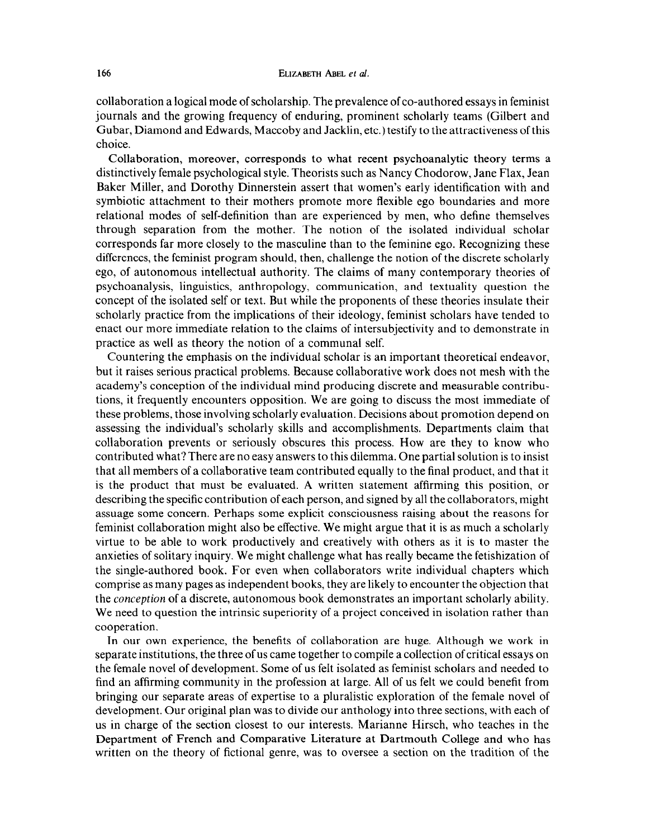collaboration a logical mode of scholarship. The prevalence of co-authored essays in feminist journals and the growing frequency of enduring, prominent scholarly teams (Gilbert and Gubar, Diamond and Edwards, Maccoby and Jacklin, etc.) testify to the attractiveness of this choice.

Collaboration, moreover, corresponds to what recent psychoanalytic theory terms a distinctively female psychological style. Theorists such as Nancy Chodorow, Jane Flax, Jean Baker Miller, and Dorothy Dinnerstein assert that women's early identification with and symbiotic attachment to their mothers promote more flexible ego boundaries and more relational modes of self-definition than are experienced by men, who define themselves through separation from the mother. The notion of the isolated individual scholar corresponds far more closely to the masculine than to the feminine ego. Recognizing these differences, the feminist program should, then, challenge the notion of the discrete scholarly ego, of autonomous intellectual authority. The claims of many contemporary theories of psychoanalysis, linguistics, anthropology, communication, and textuality question the concept of the isolated self or text. But while the proponents of these theories insulate their scholarly practice from the implications of their ideology, feminist scholars have tended to enact our more immediate relation to the claims of intersubjectivity and to demonstrate in practice as well as theory the notion of a communal self.

Countering the emphasis on the individual scholar is an important theoretical endeavor, but it raises serious practical problems. Because collaborative work does not mesh with the academy's conception of the individual mind producing discrete and measurable contributions, it frequently encounters opposition. We are going to discuss the most immediate of these problems, those involving scholarly evaluation. Decisions about promotion depend on assessing the individual's scholarly skills and accomplishments. Departments claim that collaboration prevents or seriously obscures this process. How are they to know who contributed what? There are no easy answers to this dilemma. One partial solution is to insist that all members of a collaborative team contributed equally to the final product, and that it is the product that must be evaluated. A written statement affirming this position, or describing the specific contribution of each person, and signed by all the collaborators, might assuage some concern. Perhaps some explicit consciousness raising about the reasons for feminist collaboration might also be effective. We might argue that it is as much a scholarly virtue to be able to work productively and creatively with others as it is to master the anxieties of solitary inquiry. We might challenge what has really became the fetishization of the single-authored book. For even when collaborators write individual chapters which comprise as many pages as independent books, they are likely to encounter the objection that the conception of a discrete, autonomous book demonstrates an important scholarly ability. We need to question the intrinsic superiority of a project conceived in isolation rather than cooperation.

In our own experience, the benefits of collaboration are huge. Although we work in separate institutions, the three of us came together to compile a collection of critical essays on the female novel of development. Some of us felt isolated as feminist scholars and needed to find an affirming community in the profession at large. All of us felt we could benefit from bringing our separate areas of expertise to a pluralistic exploration of the female novel of development. Our original plan was to divide our anthology into three sections, with each of us in charge of the section closest to our interests. Marianne Hirsch, who teaches in the Department of French and Comparative Literature at Dartmouth College and who has written on the theory of fictional genre, was to oversee a section on the tradition of the